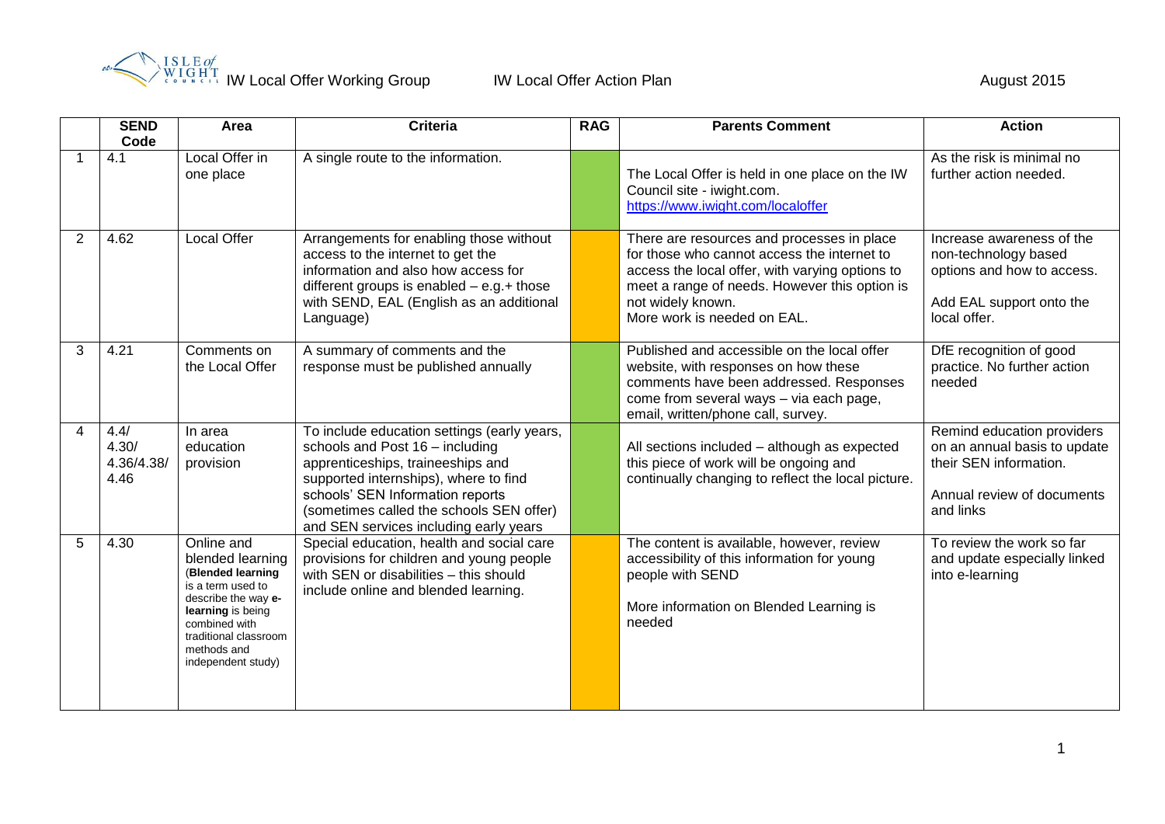

|                       | <b>SEND</b><br>Code                 | Area                                                                                                                                                                                                | <b>Criteria</b>                                                                                                                                                                                                                                                                        | <b>RAG</b> | <b>Parents Comment</b>                                                                                                                                                                                                                            | <b>Action</b>                                                                                                                   |
|-----------------------|-------------------------------------|-----------------------------------------------------------------------------------------------------------------------------------------------------------------------------------------------------|----------------------------------------------------------------------------------------------------------------------------------------------------------------------------------------------------------------------------------------------------------------------------------------|------------|---------------------------------------------------------------------------------------------------------------------------------------------------------------------------------------------------------------------------------------------------|---------------------------------------------------------------------------------------------------------------------------------|
|                       | 4.1                                 | Local Offer in<br>one place                                                                                                                                                                         | A single route to the information.                                                                                                                                                                                                                                                     |            | The Local Offer is held in one place on the IW<br>Council site - iwight.com.<br>https://www.iwight.com/localoffer                                                                                                                                 | As the risk is minimal no<br>further action needed.                                                                             |
| $\overline{2}$        | 4.62                                | <b>Local Offer</b>                                                                                                                                                                                  | Arrangements for enabling those without<br>access to the internet to get the<br>information and also how access for<br>different groups is enabled $-$ e.g.+ those<br>with SEND, EAL (English as an additional<br>Language)                                                            |            | There are resources and processes in place<br>for those who cannot access the internet to<br>access the local offer, with varying options to<br>meet a range of needs. However this option is<br>not widely known.<br>More work is needed on EAL. | Increase awareness of the<br>non-technology based<br>options and how to access.<br>Add EAL support onto the<br>local offer.     |
| 3                     | 4.21                                | Comments on<br>the Local Offer                                                                                                                                                                      | A summary of comments and the<br>response must be published annually                                                                                                                                                                                                                   |            | Published and accessible on the local offer<br>website, with responses on how these<br>comments have been addressed. Responses<br>come from several ways - via each page,<br>email, written/phone call, survey.                                   | DfE recognition of good<br>practice. No further action<br>needed                                                                |
| $\boldsymbol{\Delta}$ | 4.4/<br>4.30/<br>4.36/4.38/<br>4.46 | In area<br>education<br>provision                                                                                                                                                                   | To include education settings (early years,<br>schools and Post 16 - including<br>apprenticeships, traineeships and<br>supported internships), where to find<br>schools' SEN Information reports<br>(sometimes called the schools SEN offer)<br>and SEN services including early years |            | All sections included - although as expected<br>this piece of work will be ongoing and<br>continually changing to reflect the local picture.                                                                                                      | Remind education providers<br>on an annual basis to update<br>their SEN information.<br>Annual review of documents<br>and links |
| 5                     | 4.30                                | Online and<br>blended learning<br>(Blended learning<br>is a term used to<br>describe the way e-<br>learning is being<br>combined with<br>traditional classroom<br>methods and<br>independent study) | Special education, health and social care<br>provisions for children and young people<br>with SEN or disabilities - this should<br>include online and blended learning.                                                                                                                |            | The content is available, however, review<br>accessibility of this information for young<br>people with SEND<br>More information on Blended Learning is<br>needed                                                                                 | To review the work so far<br>and update especially linked<br>into e-learning                                                    |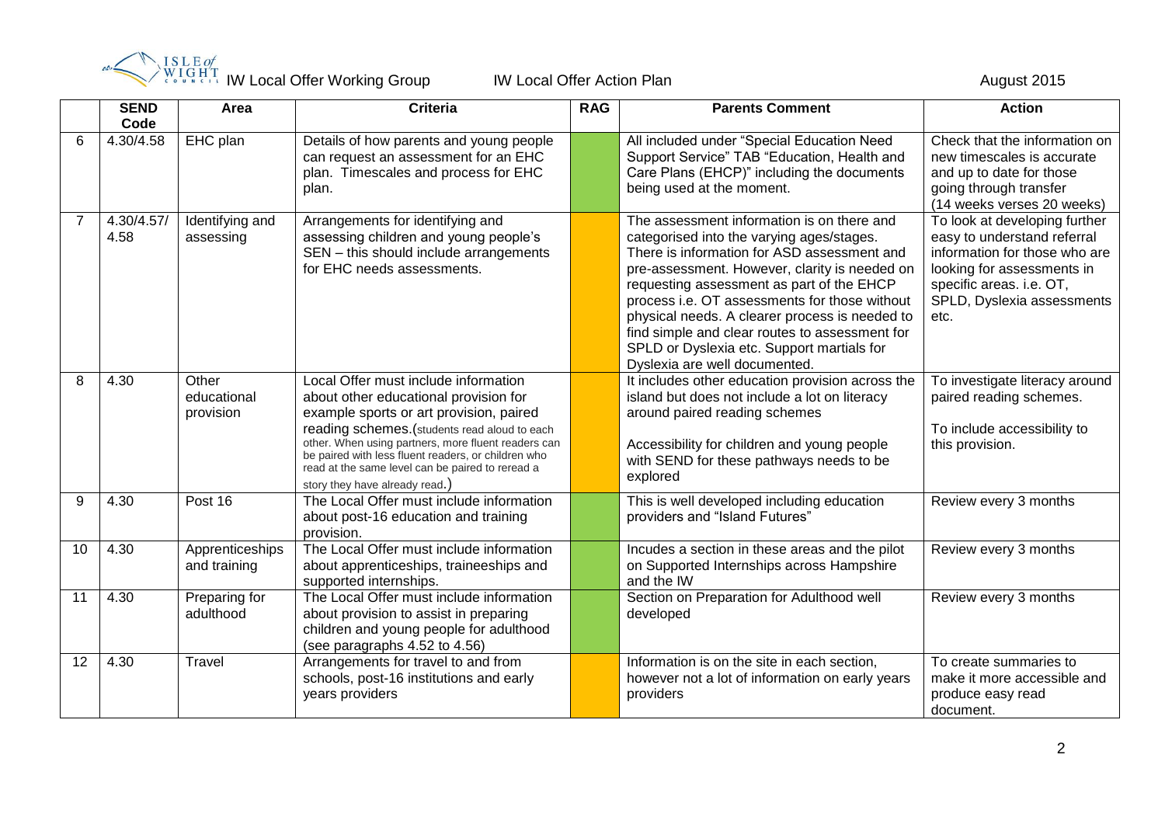

|    | <b>ISLE</b> of<br>WIGHT | August 2015                       |                                                                                                                                                                                                                                                                                                                                                                              |            |                                                                                                                                                                                                                                                                                                                                                                                                                                                                          |                                                                                                                                                                                               |
|----|-------------------------|-----------------------------------|------------------------------------------------------------------------------------------------------------------------------------------------------------------------------------------------------------------------------------------------------------------------------------------------------------------------------------------------------------------------------|------------|--------------------------------------------------------------------------------------------------------------------------------------------------------------------------------------------------------------------------------------------------------------------------------------------------------------------------------------------------------------------------------------------------------------------------------------------------------------------------|-----------------------------------------------------------------------------------------------------------------------------------------------------------------------------------------------|
|    | <b>SEND</b><br>Code     | Area                              | <b>Criteria</b>                                                                                                                                                                                                                                                                                                                                                              | <b>RAG</b> | <b>Parents Comment</b>                                                                                                                                                                                                                                                                                                                                                                                                                                                   | <b>Action</b>                                                                                                                                                                                 |
| 6  | 4.30/4.58               | EHC plan                          | Details of how parents and young people<br>can request an assessment for an EHC<br>plan. Timescales and process for EHC<br>plan.                                                                                                                                                                                                                                             |            | All included under "Special Education Need<br>Support Service" TAB "Education, Health and<br>Care Plans (EHCP)" including the documents<br>being used at the moment.                                                                                                                                                                                                                                                                                                     | Check that the information on<br>new timescales is accurate<br>and up to date for those<br>going through transfer<br>(14 weeks verses 20 weeks)                                               |
| 7  | 4.30/4.57/<br>4.58      | Identifying and<br>assessing      | Arrangements for identifying and<br>assessing children and young people's<br>SEN - this should include arrangements<br>for EHC needs assessments.                                                                                                                                                                                                                            |            | The assessment information is on there and<br>categorised into the varying ages/stages.<br>There is information for ASD assessment and<br>pre-assessment. However, clarity is needed on<br>requesting assessment as part of the EHCP<br>process i.e. OT assessments for those without<br>physical needs. A clearer process is needed to<br>find simple and clear routes to assessment for<br>SPLD or Dyslexia etc. Support martials for<br>Dyslexia are well documented. | To look at developing further<br>easy to understand referral<br>information for those who are<br>looking for assessments in<br>specific areas. i.e. OT,<br>SPLD, Dyslexia assessments<br>etc. |
| 8  | 4.30                    | Other<br>educational<br>provision | Local Offer must include information<br>about other educational provision for<br>example sports or art provision, paired<br>reading schemes.(students read aloud to each<br>other. When using partners, more fluent readers can<br>be paired with less fluent readers, or children who<br>read at the same level can be paired to reread a<br>story they have already read.) |            | It includes other education provision across the<br>island but does not include a lot on literacy<br>around paired reading schemes<br>Accessibility for children and young people<br>with SEND for these pathways needs to be<br>explored                                                                                                                                                                                                                                | To investigate literacy around<br>paired reading schemes.<br>To include accessibility to<br>this provision.                                                                                   |
| 9  | 4.30                    | Post 16                           | The Local Offer must include information<br>about post-16 education and training<br>provision.                                                                                                                                                                                                                                                                               |            | This is well developed including education<br>providers and "Island Futures"                                                                                                                                                                                                                                                                                                                                                                                             | Review every 3 months                                                                                                                                                                         |
| 10 | 4.30                    | Apprenticeships<br>and training   | The Local Offer must include information<br>about apprenticeships, traineeships and<br>supported internships.                                                                                                                                                                                                                                                                |            | Incudes a section in these areas and the pilot<br>on Supported Internships across Hampshire<br>and the IW                                                                                                                                                                                                                                                                                                                                                                | Review every 3 months                                                                                                                                                                         |
| 11 | 4.30                    | Preparing for<br>adulthood        | The Local Offer must include information<br>about provision to assist in preparing<br>children and young people for adulthood<br>(see paragraphs 4.52 to 4.56)                                                                                                                                                                                                               |            | Section on Preparation for Adulthood well<br>developed                                                                                                                                                                                                                                                                                                                                                                                                                   | Review every 3 months                                                                                                                                                                         |
| 12 | 4.30                    | Travel                            | Arrangements for travel to and from<br>schools, post-16 institutions and early<br>years providers                                                                                                                                                                                                                                                                            |            | Information is on the site in each section,<br>however not a lot of information on early years<br>providers                                                                                                                                                                                                                                                                                                                                                              | To create summaries to<br>make it more accessible and<br>produce easy read<br>document.                                                                                                       |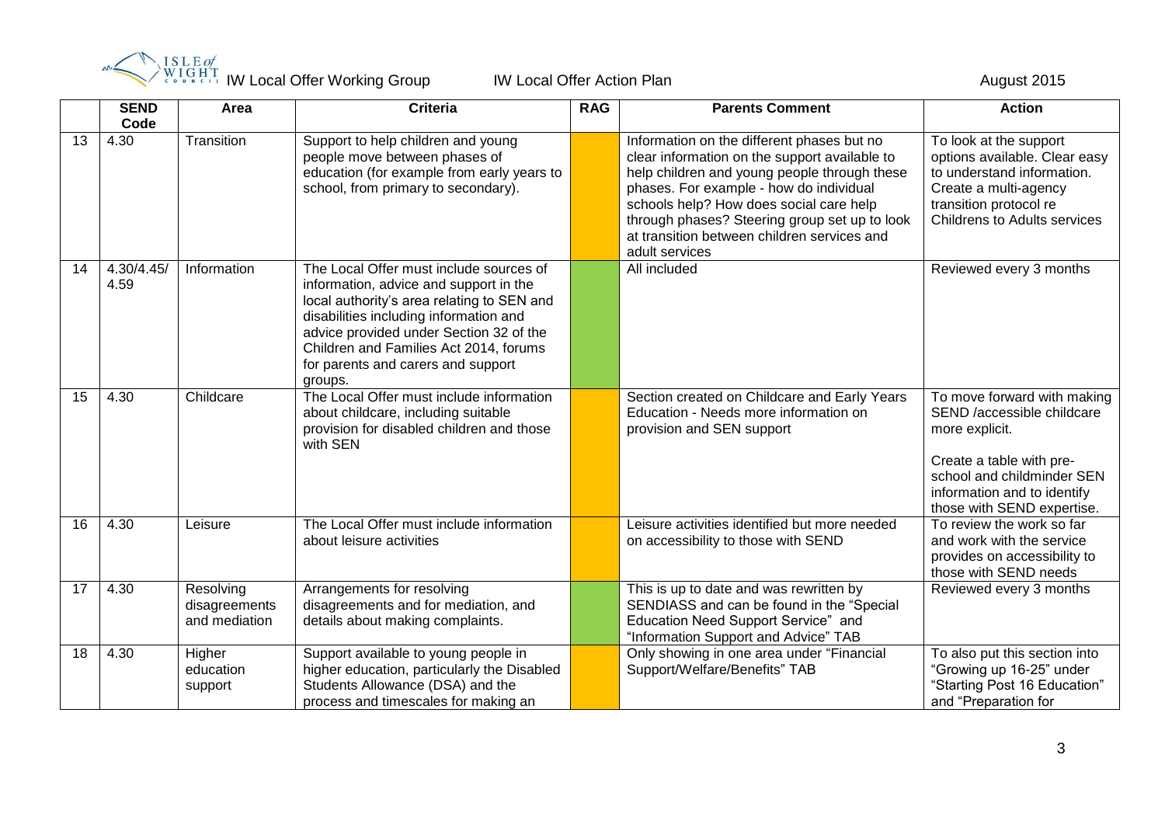

|    | <b>SEND</b><br>Code | Area                                        | <b>Criteria</b>                                                                                                                                                                                                                                                                                                 | <b>RAG</b> | <b>Parents Comment</b>                                                                                                                                                                                                                                                                                                                              | <b>Action</b>                                                                                                                                                                                      |
|----|---------------------|---------------------------------------------|-----------------------------------------------------------------------------------------------------------------------------------------------------------------------------------------------------------------------------------------------------------------------------------------------------------------|------------|-----------------------------------------------------------------------------------------------------------------------------------------------------------------------------------------------------------------------------------------------------------------------------------------------------------------------------------------------------|----------------------------------------------------------------------------------------------------------------------------------------------------------------------------------------------------|
| 13 | 4.30                | Transition                                  | Support to help children and young<br>people move between phases of<br>education (for example from early years to<br>school, from primary to secondary).                                                                                                                                                        |            | Information on the different phases but no<br>clear information on the support available to<br>help children and young people through these<br>phases. For example - how do individual<br>schools help? How does social care help<br>through phases? Steering group set up to look<br>at transition between children services and<br>adult services | To look at the support<br>options available. Clear easy<br>to understand information.<br>Create a multi-agency<br>transition protocol re<br><b>Childrens to Adults services</b>                    |
| 14 | 4.30/4.45/<br>4.59  | Information                                 | The Local Offer must include sources of<br>information, advice and support in the<br>local authority's area relating to SEN and<br>disabilities including information and<br>advice provided under Section 32 of the<br>Children and Families Act 2014, forums<br>for parents and carers and support<br>groups. |            | All included                                                                                                                                                                                                                                                                                                                                        | Reviewed every 3 months                                                                                                                                                                            |
| 15 | 4.30                | Childcare                                   | The Local Offer must include information<br>about childcare, including suitable<br>provision for disabled children and those<br>with SEN                                                                                                                                                                        |            | Section created on Childcare and Early Years<br>Education - Needs more information on<br>provision and SEN support                                                                                                                                                                                                                                  | To move forward with making<br>SEND /accessible childcare<br>more explicit.<br>Create a table with pre-<br>school and childminder SEN<br>information and to identify<br>those with SEND expertise. |
| 16 | 4.30                | Leisure                                     | The Local Offer must include information<br>about leisure activities                                                                                                                                                                                                                                            |            | Leisure activities identified but more needed<br>on accessibility to those with SEND                                                                                                                                                                                                                                                                | To review the work so far<br>and work with the service<br>provides on accessibility to<br>those with SEND needs                                                                                    |
| 17 | 4.30                | Resolving<br>disagreements<br>and mediation | Arrangements for resolving<br>disagreements and for mediation, and<br>details about making complaints.                                                                                                                                                                                                          |            | This is up to date and was rewritten by<br>SENDIASS and can be found in the "Special<br>Education Need Support Service" and<br>"Information Support and Advice" TAB                                                                                                                                                                                 | Reviewed every 3 months                                                                                                                                                                            |
| 18 | 4.30                | Higher<br>education<br>support              | Support available to young people in<br>higher education, particularly the Disabled<br>Students Allowance (DSA) and the<br>process and timescales for making an                                                                                                                                                 |            | Only showing in one area under "Financial<br>Support/Welfare/Benefits" TAB                                                                                                                                                                                                                                                                          | To also put this section into<br>"Growing up 16-25" under<br>"Starting Post 16 Education"<br>and "Preparation for                                                                                  |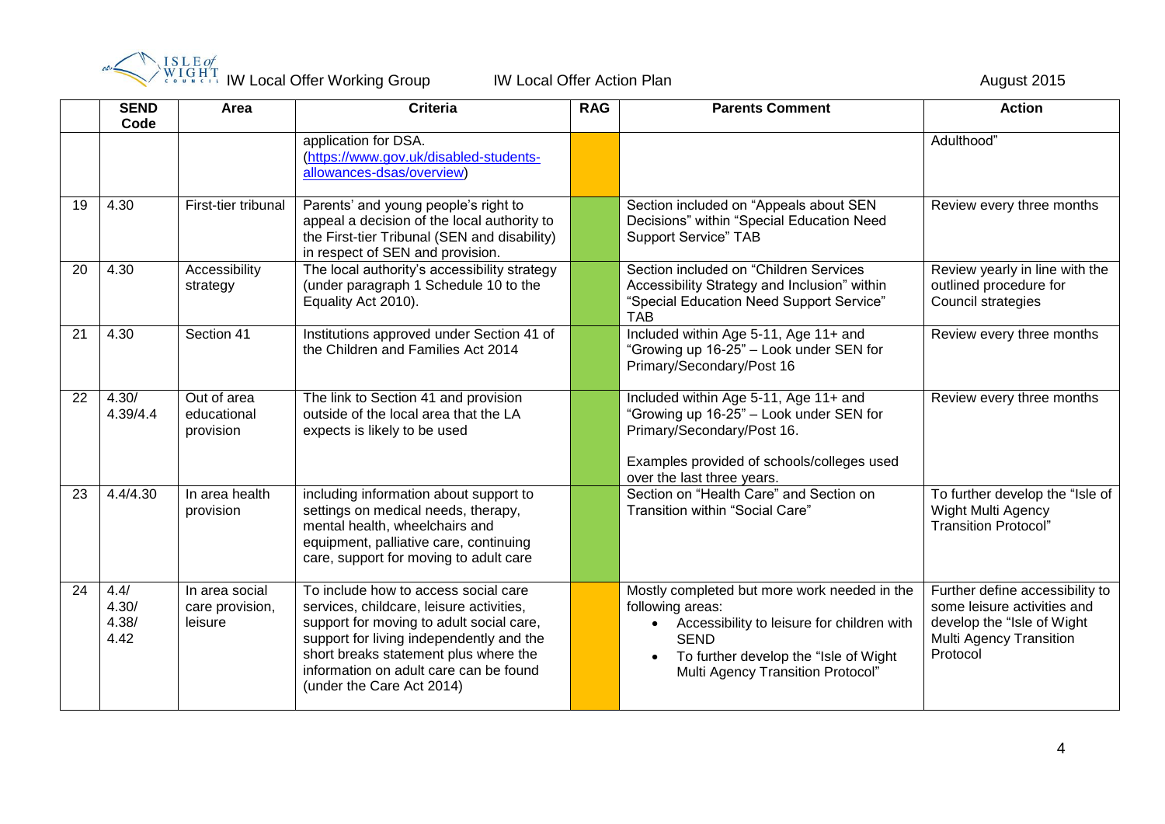![](_page_3_Picture_0.jpeg)

IW Local Offer Working Group **IW Local Offer Action Plan** August 2015

|    | <b>SEND</b><br>Code            | Area                                         | <b>Criteria</b>                                                                                                                                                                                                                                                                          | <b>RAG</b> | <b>Parents Comment</b>                                                                                                                                                                                             | <b>Action</b>                                                                                                                              |
|----|--------------------------------|----------------------------------------------|------------------------------------------------------------------------------------------------------------------------------------------------------------------------------------------------------------------------------------------------------------------------------------------|------------|--------------------------------------------------------------------------------------------------------------------------------------------------------------------------------------------------------------------|--------------------------------------------------------------------------------------------------------------------------------------------|
|    |                                |                                              | application for DSA.<br>(https://www.gov.uk/disabled-students-<br>allowances-dsas/overview)                                                                                                                                                                                              |            |                                                                                                                                                                                                                    | Adulthood"                                                                                                                                 |
| 19 | 4.30                           | First-tier tribunal                          | Parents' and young people's right to<br>appeal a decision of the local authority to<br>the First-tier Tribunal (SEN and disability)<br>in respect of SEN and provision.                                                                                                                  |            | Section included on "Appeals about SEN<br>Decisions" within "Special Education Need<br><b>Support Service" TAB</b>                                                                                                 | Review every three months                                                                                                                  |
| 20 | 4.30                           | Accessibility<br>strategy                    | The local authority's accessibility strategy<br>(under paragraph 1 Schedule 10 to the<br>Equality Act 2010).                                                                                                                                                                             |            | Section included on "Children Services<br>Accessibility Strategy and Inclusion" within<br>"Special Education Need Support Service"<br><b>TAB</b>                                                                   | Review yearly in line with the<br>outlined procedure for<br>Council strategies                                                             |
| 21 | 4.30                           | Section 41                                   | Institutions approved under Section 41 of<br>the Children and Families Act 2014                                                                                                                                                                                                          |            | Included within Age 5-11, Age 11+ and<br>"Growing up 16-25" - Look under SEN for<br>Primary/Secondary/Post 16                                                                                                      | Review every three months                                                                                                                  |
| 22 | 4.30/<br>4.39/4.4              | Out of area<br>educational<br>provision      | The link to Section 41 and provision<br>outside of the local area that the LA<br>expects is likely to be used                                                                                                                                                                            |            | Included within Age 5-11, Age 11+ and<br>"Growing up 16-25" - Look under SEN for<br>Primary/Secondary/Post 16.<br>Examples provided of schools/colleges used<br>over the last three years.                         | Review every three months                                                                                                                  |
| 23 | 4.4/4.30                       | In area health<br>provision                  | including information about support to<br>settings on medical needs, therapy,<br>mental health, wheelchairs and<br>equipment, palliative care, continuing<br>care, support for moving to adult care                                                                                      |            | Section on "Health Care" and Section on<br>Transition within "Social Care"                                                                                                                                         | To further develop the "Isle of<br><b>Wight Multi Agency</b><br><b>Transition Protocol"</b>                                                |
| 24 | 4.4/<br>4.30/<br>4.38/<br>4.42 | In area social<br>care provision,<br>leisure | To include how to access social care<br>services, childcare, leisure activities,<br>support for moving to adult social care,<br>support for living independently and the<br>short breaks statement plus where the<br>information on adult care can be found<br>(under the Care Act 2014) |            | Mostly completed but more work needed in the<br>following areas:<br>Accessibility to leisure for children with<br><b>SEND</b><br>To further develop the "Isle of Wight<br><b>Multi Agency Transition Protocol"</b> | Further define accessibility to<br>some leisure activities and<br>develop the "Isle of Wight<br><b>Multi Agency Transition</b><br>Protocol |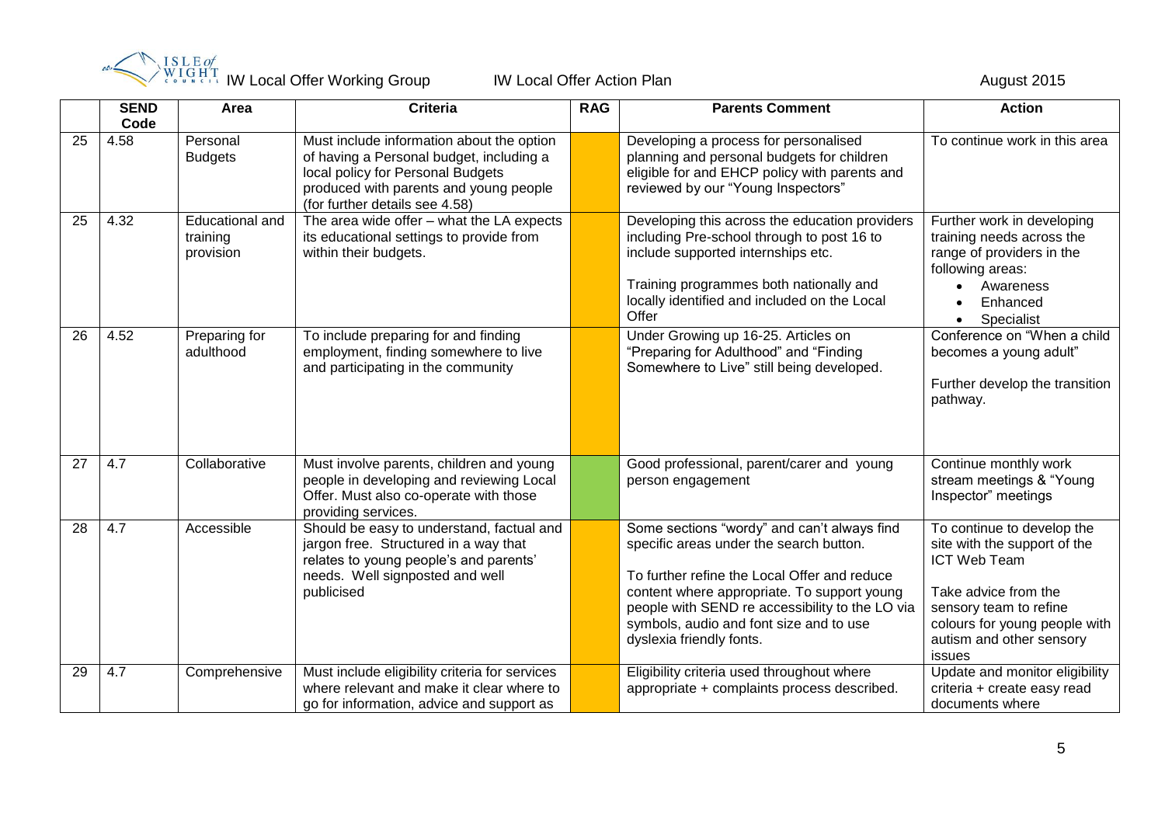![](_page_4_Picture_0.jpeg)

IW Local Offer Working Group **IW Local Offer Action Plan** August 2015

|    | <b>SEND</b><br>Code | Area                                            | Criteria                                                                                                                                                                                               | <b>RAG</b> | <b>Parents Comment</b>                                                                                                                                                                                                                                                                                          | <b>Action</b>                                                                                                                                                                                       |
|----|---------------------|-------------------------------------------------|--------------------------------------------------------------------------------------------------------------------------------------------------------------------------------------------------------|------------|-----------------------------------------------------------------------------------------------------------------------------------------------------------------------------------------------------------------------------------------------------------------------------------------------------------------|-----------------------------------------------------------------------------------------------------------------------------------------------------------------------------------------------------|
| 25 | 4.58                | Personal<br><b>Budgets</b>                      | Must include information about the option<br>of having a Personal budget, including a<br>local policy for Personal Budgets<br>produced with parents and young people<br>(for further details see 4.58) |            | Developing a process for personalised<br>planning and personal budgets for children<br>eligible for and EHCP policy with parents and<br>reviewed by our "Young Inspectors"                                                                                                                                      | To continue work in this area                                                                                                                                                                       |
| 25 | 4.32                | <b>Educational and</b><br>training<br>provision | The area wide offer - what the LA expects<br>its educational settings to provide from<br>within their budgets.                                                                                         |            | Developing this across the education providers<br>including Pre-school through to post 16 to<br>include supported internships etc.<br>Training programmes both nationally and<br>locally identified and included on the Local<br>Offer                                                                          | Further work in developing<br>training needs across the<br>range of providers in the<br>following areas:<br>Awareness<br>Enhanced<br>Specialist<br>$\bullet$                                        |
| 26 | 4.52                | Preparing for<br>adulthood                      | To include preparing for and finding<br>employment, finding somewhere to live<br>and participating in the community                                                                                    |            | Under Growing up 16-25. Articles on<br>"Preparing for Adulthood" and "Finding<br>Somewhere to Live" still being developed.                                                                                                                                                                                      | Conference on "When a child<br>becomes a young adult"<br>Further develop the transition<br>pathway.                                                                                                 |
| 27 | 4.7                 | Collaborative                                   | Must involve parents, children and young<br>people in developing and reviewing Local<br>Offer. Must also co-operate with those<br>providing services.                                                  |            | Good professional, parent/carer and young<br>person engagement                                                                                                                                                                                                                                                  | Continue monthly work<br>stream meetings & "Young<br>Inspector" meetings                                                                                                                            |
| 28 | 4.7                 | Accessible                                      | Should be easy to understand, factual and<br>jargon free. Structured in a way that<br>relates to young people's and parents'<br>needs. Well signposted and well<br>publicised                          |            | Some sections "wordy" and can't always find<br>specific areas under the search button.<br>To further refine the Local Offer and reduce<br>content where appropriate. To support young<br>people with SEND re accessibility to the LO via<br>symbols, audio and font size and to use<br>dyslexia friendly fonts. | To continue to develop the<br>site with the support of the<br>ICT Web Team<br>Take advice from the<br>sensory team to refine<br>colours for young people with<br>autism and other sensory<br>issues |
| 29 | 4.7                 | Comprehensive                                   | Must include eligibility criteria for services<br>where relevant and make it clear where to<br>go for information, advice and support as                                                               |            | Eligibility criteria used throughout where<br>appropriate + complaints process described.                                                                                                                                                                                                                       | Update and monitor eligibility<br>criteria + create easy read<br>documents where                                                                                                                    |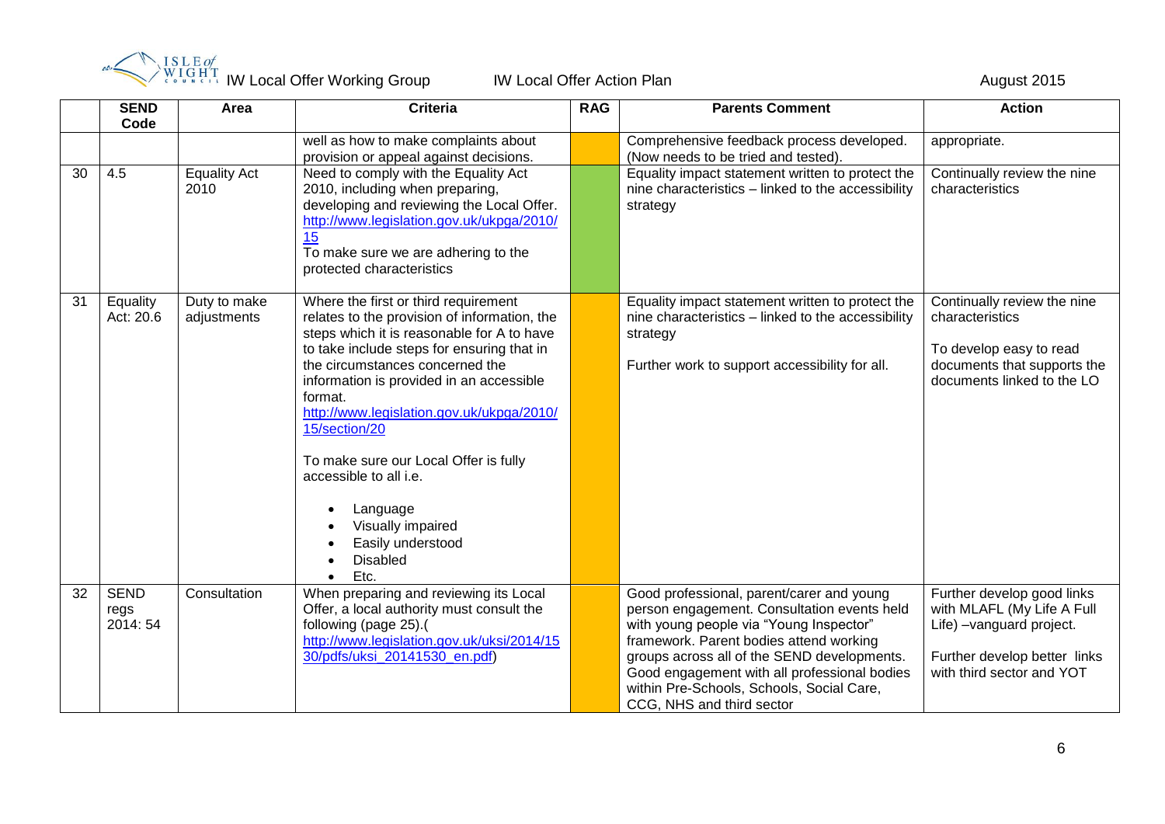![](_page_5_Picture_0.jpeg)

IW Local Offer Working Group **IW Local Offer Action Plan** August 2015

|    | <b>SEND</b><br>Code             | Area                        | <b>Criteria</b>                                                                                                                                                                                                                                                                                                                                                                                                                                                                              | <b>RAG</b> | <b>Parents Comment</b>                                                                                                                                                                                                                                                                                                                                  | <b>Action</b>                                                                                                                                     |
|----|---------------------------------|-----------------------------|----------------------------------------------------------------------------------------------------------------------------------------------------------------------------------------------------------------------------------------------------------------------------------------------------------------------------------------------------------------------------------------------------------------------------------------------------------------------------------------------|------------|---------------------------------------------------------------------------------------------------------------------------------------------------------------------------------------------------------------------------------------------------------------------------------------------------------------------------------------------------------|---------------------------------------------------------------------------------------------------------------------------------------------------|
|    |                                 |                             | well as how to make complaints about<br>provision or appeal against decisions.                                                                                                                                                                                                                                                                                                                                                                                                               |            | Comprehensive feedback process developed.<br>(Now needs to be tried and tested).                                                                                                                                                                                                                                                                        | appropriate.                                                                                                                                      |
| 30 | 4.5                             | <b>Equality Act</b><br>2010 | Need to comply with the Equality Act<br>2010, including when preparing,<br>developing and reviewing the Local Offer.<br>http://www.legislation.gov.uk/ukpga/2010/<br>15<br>To make sure we are adhering to the<br>protected characteristics                                                                                                                                                                                                                                                  |            | Equality impact statement written to protect the<br>nine characteristics - linked to the accessibility<br>strategy                                                                                                                                                                                                                                      | Continually review the nine<br>characteristics                                                                                                    |
| 31 | Equality<br>Act: 20.6           | Duty to make<br>adjustments | Where the first or third requirement<br>relates to the provision of information, the<br>steps which it is reasonable for A to have<br>to take include steps for ensuring that in<br>the circumstances concerned the<br>information is provided in an accessible<br>format.<br>http://www.legislation.gov.uk/ukpga/2010/<br>15/section/20<br>To make sure our Local Offer is fully<br>accessible to all i.e.<br>Language<br>Visually impaired<br>Easily understood<br><b>Disabled</b><br>Etc. |            | Equality impact statement written to protect the<br>nine characteristics - linked to the accessibility<br>strategy<br>Further work to support accessibility for all.                                                                                                                                                                                    | Continually review the nine<br>characteristics<br>To develop easy to read<br>documents that supports the<br>documents linked to the LO            |
| 32 | <b>SEND</b><br>regs<br>2014: 54 | Consultation                | When preparing and reviewing its Local<br>Offer, a local authority must consult the<br>following (page 25).(<br>http://www.legislation.gov.uk/uksi/2014/15<br>30/pdfs/uksi 20141530 en.pdf)                                                                                                                                                                                                                                                                                                  |            | Good professional, parent/carer and young<br>person engagement. Consultation events held<br>with young people via "Young Inspector"<br>framework. Parent bodies attend working<br>groups across all of the SEND developments.<br>Good engagement with all professional bodies<br>within Pre-Schools, Schools, Social Care,<br>CCG, NHS and third sector | Further develop good links<br>with MLAFL (My Life A Full<br>Life) -vanguard project.<br>Further develop better links<br>with third sector and YOT |